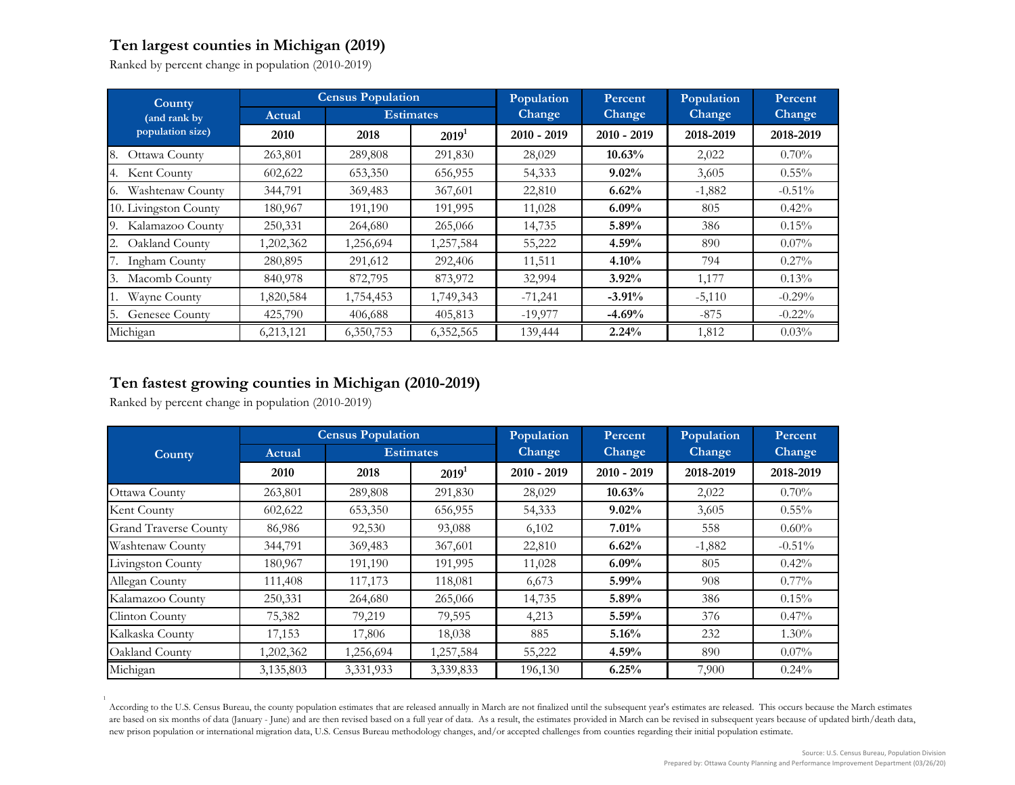## **Ten largest counties in Michigan (2019)**

Ranked by percent change in population (2010-2019)

| <b>County</b><br>(and rank by<br>population size) | <b>Census Population</b> |                  |                   | Population    | Percent       | Population    | Percent   |
|---------------------------------------------------|--------------------------|------------------|-------------------|---------------|---------------|---------------|-----------|
|                                                   | Actual                   | <b>Estimates</b> |                   | Change        | <b>Change</b> | <b>Change</b> | Change    |
|                                                   | 2010                     | 2018             | 2019 <sup>1</sup> | $2010 - 2019$ | $2010 - 2019$ | 2018-2019     | 2018-2019 |
| Ottawa County<br>8.                               | 263,801                  | 289,808          | 291,830           | 28,029        | 10.63%        | 2,022         | 0.70%     |
| Kent County<br>4.                                 | 602,622                  | 653,350          | 656,955           | 54,333        | $9.02\%$      | 3,605         | $0.55\%$  |
| Washtenaw County<br>Ю.                            | 344,791                  | 369,483          | 367,601           | 22,810        | 6.62%         | $-1,882$      | $-0.51\%$ |
| 10. Livingston County                             | 180,967                  | 191,190          | 191,995           | 11,028        | $6.09\%$      | 805           | $0.42\%$  |
| Kalamazoo County<br>9.                            | 250,331                  | 264,680          | 265,066           | 14,735        | $5.89\%$      | 386           | 0.15%     |
| Oakland County                                    | 1,202,362                | 1,256,694        | 1,257,584         | 55,222        | $4.59\%$      | 890           | $0.07\%$  |
| Ingham County                                     | 280,895                  | 291,612          | 292,406           | 11,511        | $4.10\%$      | 794           | $0.27\%$  |
| Macomb County<br>3.                               | 840,978                  | 872,795          | 873,972           | 32,994        | $3.92\%$      | 1,177         | $0.13\%$  |
| Wayne County                                      | 1,820,584                | 1,754,453        | 1,749,343         | $-71,241$     | $-3.91%$      | $-5,110$      | $-0.29%$  |
| Genesee County                                    | 425,790                  | 406,688          | 405,813           | $-19,977$     | $-4.69%$      | $-875$        | $-0.22\%$ |
| Michigan                                          | 6,213,121                | 6,350,753        | 6,352,565         | 139,444       | 2.24%         | 1,812         | 0.03%     |

## **Ten fastest growing counties in Michigan (2010-2019)**

Ranked by percent change in population (2010-2019)

| <b>County</b>                | <b>Census Population</b> |                  |           | Population    | Percent       | Population    | Percent   |
|------------------------------|--------------------------|------------------|-----------|---------------|---------------|---------------|-----------|
|                              | Actual                   | <b>Estimates</b> |           | Change        | Change        | <b>Change</b> | Change    |
|                              | 2010                     | 2018             | $2019^1$  | $2010 - 2019$ | $2010 - 2019$ | 2018-2019     | 2018-2019 |
| Ottawa County                | 263,801                  | 289,808          | 291,830   | 28,029        | 10.63%        | 2,022         | 0.70%     |
| Kent County                  | 602,622                  | 653,350          | 656,955   | 54,333        | 9.02%         | 3,605         | $0.55\%$  |
| <b>Grand Traverse County</b> | 86,986                   | 92,530           | 93,088    | 6,102         | 7.01%         | 558           | $0.60\%$  |
| Washtenaw County             | 344,791                  | 369,483          | 367,601   | 22,810        | 6.62%         | $-1,882$      | $-0.51\%$ |
| Livingston County            | 180,967                  | 191,190          | 191,995   | 11,028        | 6.09%         | 805           | 0.42%     |
| Allegan County               | 111,408                  | 117,173          | 118,081   | 6,673         | $5.99\%$      | 908           | $0.77\%$  |
| Kalamazoo County             | 250,331                  | 264,680          | 265,066   | 14,735        | 5.89%         | 386           | 0.15%     |
| Clinton County               | 75,382                   | 79,219           | 79,595    | 4,213         | 5.59%         | 376           | $0.47\%$  |
| Kalkaska County              | 17,153                   | 17,806           | 18,038    | 885           | 5.16%         | 232           | $1.30\%$  |
| Oakland County               | 1,202,362                | 1,256,694        | 1,257,584 | 55,222        | 4.59%         | 890           | $0.07\%$  |
| Michigan                     | 3,135,803                | 3,331,933        | 3,339,833 | 196,130       | 6.25%         | 7,900         | $0.24\%$  |

1 According to the U.S. Census Bureau, the county population estimates that are released annually in March are not finalized until the subsequent year's estimates are released. This occurs because the March estimates are based on six months of data (January - June) and are then revised based on a full year of data. As a result, the estimates provided in March can be revised in subsequent years because of updated birth/death data, new prison population or international migration data, U.S. Census Bureau methodology changes, and/or accepted challenges from counties regarding their initial population estimate.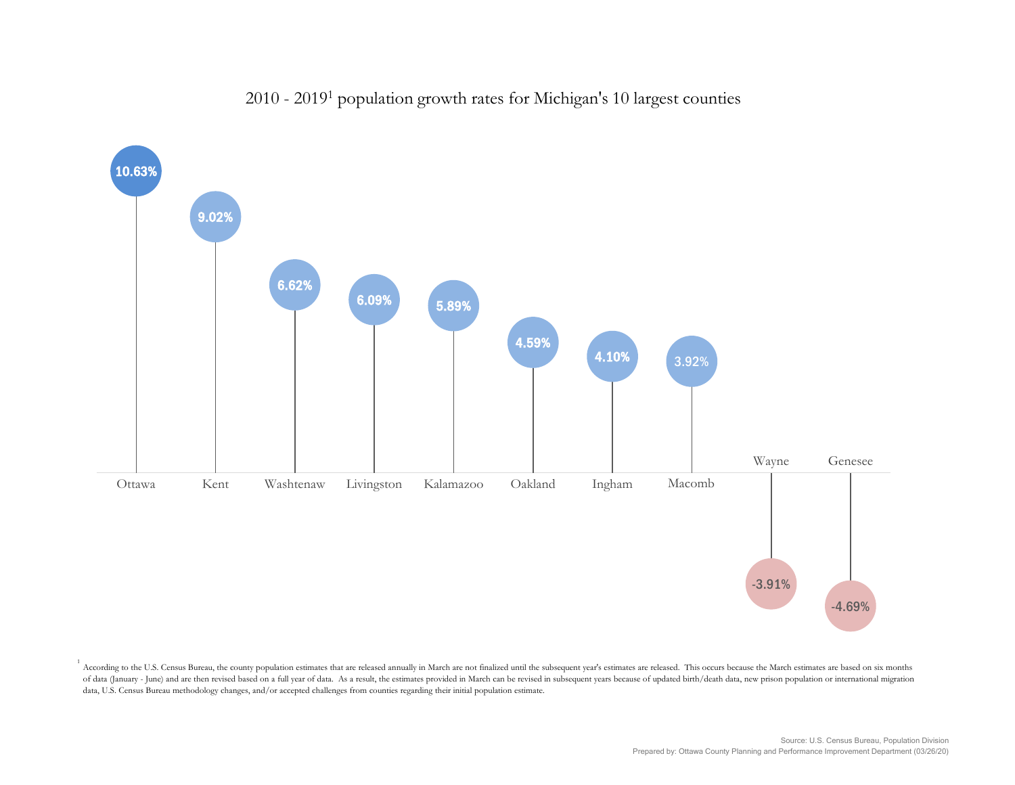## 2010 - 20191 population growth rates for Michigan's 10 largest counties



According to the U.S. Census Bureau, the county population estimates that are released annually in March are not finalized until the subsequent year's estimates are released. This occurs because the March estimates are bas of data (January - June) and are then revised based on a full year of data. As a result, the estimates provided in March can be revised in subsequent years because of updated birth/death data, new prison population or inte data, U.S. Census Bureau methodology changes, and/or accepted challenges from counties regarding their initial population estimate.